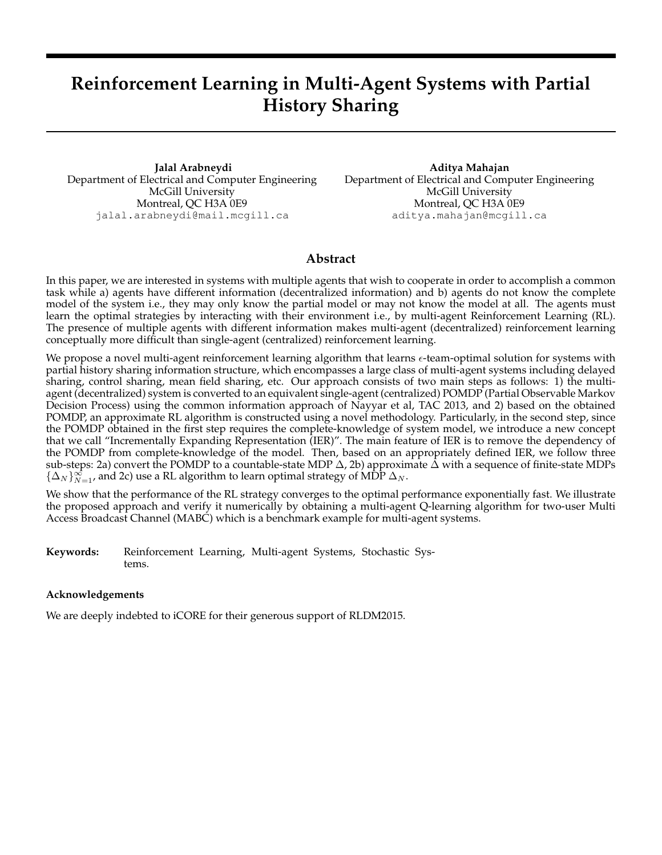# **Reinforcement Learning in Multi-Agent Systems with Partial History Sharing**

**Jalal Arabneydi** Department of Electrical and Computer Engineering McGill University Montreal, QC H3A 0E9 jalal.arabneydi@mail.mcgill.ca

**Aditya Mahajan** Department of Electrical and Computer Engineering McGill University Montreal, QC H3A 0E9 aditya.mahajan@mcgill.ca

# **Abstract**

In this paper, we are interested in systems with multiple agents that wish to cooperate in order to accomplish a common task while a) agents have different information (decentralized information) and b) agents do not know the complete model of the system i.e., they may only know the partial model or may not know the model at all. The agents must learn the optimal strategies by interacting with their environment i.e., by multi-agent Reinforcement Learning (RL). The presence of multiple agents with different information makes multi-agent (decentralized) reinforcement learning conceptually more difficult than single-agent (centralized) reinforcement learning.

We propose a novel multi-agent reinforcement learning algorithm that learns  $\epsilon$ -team-optimal solution for systems with partial history sharing information structure, which encompasses a large class of multi-agent systems including delayed sharing, control sharing, mean field sharing, etc. Our approach consists of two main steps as follows: 1) the multiagent (decentralized) system is converted to an equivalent single-agent (centralized) POMDP (Partial Observable Markov Decision Process) using the common information approach of Nayyar et al, TAC 2013, and 2) based on the obtained POMDP, an approximate RL algorithm is constructed using a novel methodology. Particularly, in the second step, since the POMDP obtained in the first step requires the complete-knowledge of system model, we introduce a new concept that we call "Incrementally Expanding Representation (IER)". The main feature of IER is to remove the dependency of the POMDP from complete-knowledge of the model. Then, based on an appropriately defined IER, we follow three sub-steps: 2a) convert the POMDP to a countable-state MDP  $\Delta$ , 2b) approximate  $\Delta$  with a sequence of finite-state MDPs  $\{\Delta_N\}_{N=1}^{\infty}$ , and 2c) use a RL algorithm to learn optimal strategy of MDP  $\Delta_N$ .

We show that the performance of the RL strategy converges to the optimal performance exponentially fast. We illustrate the proposed approach and verify it numerically by obtaining a multi-agent Q-learning algorithm for two-user Multi Access Broadcast Channel (MABC) which is a benchmark example for multi-agent systems.

**Keywords:** Reinforcement Learning, Multi-agent Systems, Stochastic Systems.

## **Acknowledgements**

We are deeply indebted to iCORE for their generous support of RLDM2015.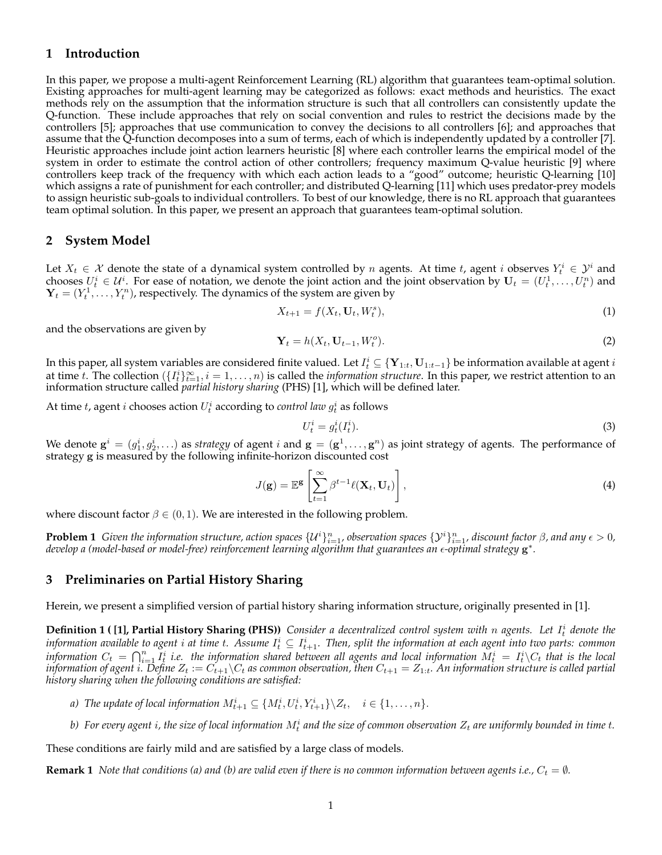## **1 Introduction**

In this paper, we propose a multi-agent Reinforcement Learning (RL) algorithm that guarantees team-optimal solution. Existing approaches for multi-agent learning may be categorized as follows: exact methods and heuristics. The exact methods rely on the assumption that the information structure is such that all controllers can consistently update the Q-function. These include approaches that rely on social convention and rules to restrict the decisions made by the controllers [5]; approaches that use communication to convey the decisions to all controllers [6]; and approaches that assume that the Q-function decomposes into a sum of terms, each of which is independently updated by a controller [7]. Heuristic approaches include joint action learners heuristic [8] where each controller learns the empirical model of the system in order to estimate the control action of other controllers; frequency maximum Q-value heuristic [9] where controllers keep track of the frequency with which each action leads to a "good" outcome; heuristic Q-learning [10] which assigns a rate of punishment for each controller; and distributed Q-learning [11] which uses predator-prey models to assign heuristic sub-goals to individual controllers. To best of our knowledge, there is no RL approach that guarantees team optimal solution. In this paper, we present an approach that guarantees team-optimal solution.

## **2 System Model**

Let  $X_t \in \mathcal{X}$  denote the state of a dynamical system controlled by n agents. At time t, agent i observes  $Y_t^i \in \mathcal{Y}^i$  and chooses  $U_t^i \in U^i$ . For ease of notation, we denote the joint action and the joint observation by  $U_t = (U_t^1, \ldots, U_t^n)$  and  $\mathbf{Y}_t = (Y_t^1, \dots, Y_t^n)$ , respectively. The dynamics of the system are given by

$$
X_{t+1} = f(X_t, \mathbf{U}_t, W_t^s),\tag{1}
$$

and the observations are given by

$$
\mathbf{Y}_t = h(X_t, \mathbf{U}_{t-1}, W_t^o). \tag{2}
$$

In this paper, all system variables are considered finite valued. Let  $I_t^i\subseteq\{\mathbf{Y}_{1:t},\mathbf{U}_{1:t-1}\}$  be information available at agent  $i$ at time t. The collection  $(\{I_t^i\}_{t=1}^\infty, i=1,\ldots,n)$  is called the *information structure*. In this paper, we restrict attention to an information structure called *partial history sharing* (PHS) [1], which will be defined later.

At time  $t$ , agent  $i$  chooses action  $U_t^i$  according to *control law*  $g_t^i$  as follows

$$
U_t^i = g_t^i(I_t^i). \tag{3}
$$

We denote  $\mathbf{g}^i=(g_1^i,g_2^i,\ldots)$  as *strategy* of agent  $i$  and  $\mathbf{g}=(\mathbf{g}^1,\ldots,\mathbf{g}^n)$  as joint strategy of agents. The performance of strategy g is measured by the following infinite-horizon discounted cost

$$
J(\mathbf{g}) = \mathbb{E}^{\mathbf{g}} \left[ \sum_{t=1}^{\infty} \beta^{t-1} \ell(\mathbf{X}_t, \mathbf{U}_t) \right],
$$
 (4)

where discount factor  $\beta \in (0, 1)$ . We are interested in the following problem.

**Problem 1** Given the information structure, action spaces  $\{U^i\}_{i=1}^n$ , observation spaces  $\{V^i\}_{i=1}^n$ , discount factor  $\beta$ , and any  $\epsilon > 0$ , develop a (model-based or model-free) reinforcement learning algorithm that guarantees an  $\epsilon$ -optimal strategy  $\mathbf{g}^*$ .

## **3 Preliminaries on Partial History Sharing**

Herein, we present a simplified version of partial history sharing information structure, originally presented in [1].

**Definition 1 ( [1], Partial History Sharing (PHS))** Consider a decentralized control system with n agents. Let  $I_t^i$  denote the information available to agent  $i$  at time t. Assume  $I_t^i\subseteq I_{t+1}^i$ . Then, split the information at each agent into two parts: common information  $C_t$  =  $\bigcap_{i=1}^n I^i_t$  i.e. the information shared between all agents and local information  $M^i_t$  =  $I^i_t\backslash C_t$  that is the local *information of agent i*. Define  $Z_t := C_{t+1} \backslash C_t$  as common observation, then  $C_{t+1} = Z_{1:t}$ . An information structure is called partial *history sharing when the following conditions are satisfied:*

- *a*) The update of local information  $M_{t+1}^i \subseteq \{M_t^i, U_t^i, Y_{t+1}^i\} \setminus Z_t, \quad i \in \{1, \ldots, n\}.$
- b) For every agent  $i$ , the size of local information  $M_t^i$  and the size of common observation  $Z_t$  are uniformly bounded in time  $t$ .

These conditions are fairly mild and are satisfied by a large class of models.

**Remark 1** *Note that conditions (a) and (b) are valid even if there is no common information between agents i.e.,*  $C_t = \emptyset$ .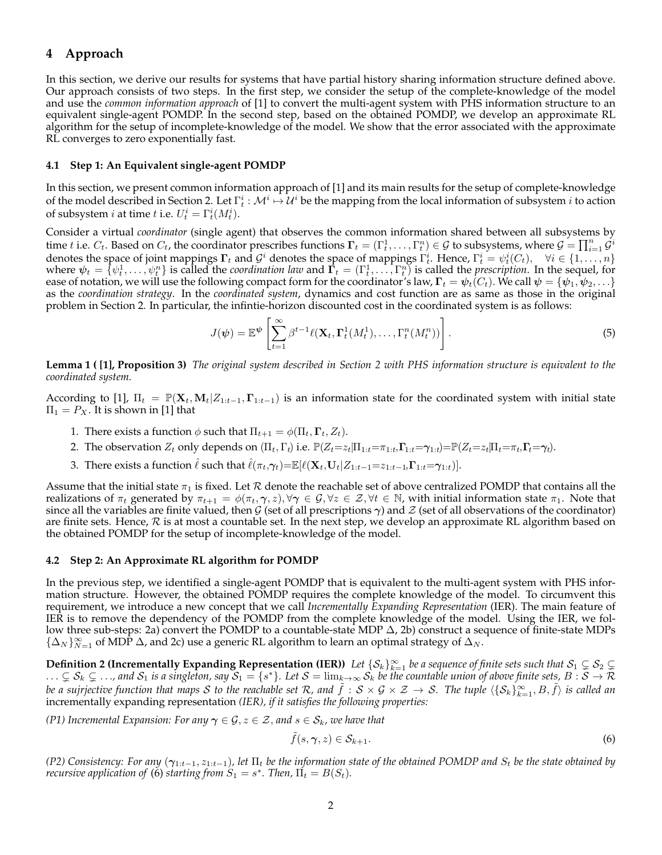# **4 Approach**

In this section, we derive our results for systems that have partial history sharing information structure defined above. Our approach consists of two steps. In the first step, we consider the setup of the complete-knowledge of the model and use the *common information approach* of [1] to convert the multi-agent system with PHS information structure to an equivalent single-agent POMDP. In the second step, based on the obtained POMDP, we develop an approximate RL algorithm for the setup of incomplete-knowledge of the model. We show that the error associated with the approximate RL converges to zero exponentially fast.

#### **4.1 Step 1: An Equivalent single-agent POMDP**

In this section, we present common information approach of [1] and its main results for the setup of complete-knowledge of the model described in Section 2. Let  $\Gamma^i_t:\mathcal{M}^i\mapsto\mathcal{U}^i$  be the mapping from the local information of subsystem  $i$  to action of subsystem *i* at time *t* i.e.  $U_t^i = \Gamma_t^i(M_t^i)$ .

Consider a virtual *coordinator* (single agent) that observes the common information shared between all subsystems by time  $t$  i.e.  $C_t$ . Based on  $C_t$ , the coordinator prescribes functions  $\bm{\Gamma}_t=(\Gamma_t^1,\ldots,\Gamma_t^n)\in\mathcal{G}$  to subsystems, where  $\mathcal{G}=\prod_{i=1}^n\mathcal{G}^i$ denotes the space of joint mappings  $\Gamma_t$  and  $\mathcal{G}^i$  denotes the space of mappings  $\Gamma_t^i$ . Hence,  $\Gamma_t^i = \psi_t^i(C_t)$ ,  $\forall i \in \{1, \ldots, n\}$ where  $\psi_t = \{\psi_t^1, \ldots, \psi_t^n\}$  is called the *coordination law* and  $\vec{\Gamma}_t = (\Gamma_t^1, \ldots, \Gamma_t^n)$  is called the *prescription*. In the sequel, for ease of notation, we will use the following compact form for the coordinator's law,  $\Gamma_t = \psi_t(C_t)$ . We call  $\psi = \{\psi_1, \psi_2, \ldots\}$ as the *coordination strategy*. In the *coordinated system*, dynamics and cost function are as same as those in the original problem in Section 2. In particular, the infintie-horizon discounted cost in the coordinated system is as follows:

$$
J(\boldsymbol{\psi}) = \mathbb{E}^{\boldsymbol{\psi}} \left[ \sum_{t=1}^{\infty} \beta^{t-1} \ell(\mathbf{X}_t, \boldsymbol{\Gamma}_t^1(M_t^1), \dots, \boldsymbol{\Gamma}_t^n(M_t^n)) \right].
$$
 (5)

**Lemma 1 ( [1], Proposition 3)** *The original system described in Section 2 with PHS information structure is equivalent to the coordinated system.*

According to [1],  $\Pi_t = \mathbb{P}(\mathbf{X}_t, \mathbf{M}_t | Z_{1:t-1}, \mathbf{\Gamma}_{1:t-1})$  is an information state for the coordinated system with initial state  $\Pi_1 = P_X$ . It is shown in [1] that

- 1. There exists a function  $\phi$  such that  $\Pi_{t+1} = \phi(\Pi_t, \Gamma_t, Z_t)$ .
- 2. The observation  $Z_t$  only depends on  $(\Pi_t, \Gamma_t)$  i.e.  $\mathbb{P}(Z_t=z_t|\Pi_{1:t}=\pi_{1:t}, \Gamma_{1:t}=\gamma_{1:t})=\mathbb{P}(Z_t=z_t|\Pi_t=\pi_t, \Gamma_t=\gamma_t)$ .
- 3. There exists a function  $\hat{\ell}$  such that  $\hat{\ell}(\pi_t,\gamma_t)=\mathbb{E}[\ell(\mathbf{X}_t,\mathbf{U}_t|Z_{1:t-1}=z_{1:t-1},\Gamma_{1:t}=\gamma_{1:t})].$

Assume that the initial state  $\pi_1$  is fixed. Let  $R$  denote the reachable set of above centralized POMDP that contains all the realizations of  $\pi_t$  generated by  $\pi_{t+1} = \phi(\pi_t, \gamma, z), \forall \gamma \in \mathcal{G}, \forall z \in \mathcal{Z}, \forall t \in \mathbb{N}$ , with initial information state  $\pi_1$ . Note that since all the variables are finite valued, then G (set of all prescriptions  $\gamma$ ) and  $\mathcal Z$  (set of all observations of the coordinator) are finite sets. Hence,  $R$  is at most a countable set. In the next step, we develop an approximate RL algorithm based on the obtained POMDP for the setup of incomplete-knowledge of the model.

#### **4.2 Step 2: An Approximate RL algorithm for POMDP**

In the previous step, we identified a single-agent POMDP that is equivalent to the multi-agent system with PHS information structure. However, the obtained POMDP requires the complete knowledge of the model. To circumvent this requirement, we introduce a new concept that we call *Incrementally Expanding Representation* (IER). The main feature of IER is to remove the dependency of the POMDP from the complete knowledge of the model. Using the IER, we follow three sub-steps: 2a) convert the POMDP to a countable-state MDP ∆, 2b) construct a sequence of finite-state MDPs  $\{\Delta_N\}_{N=1}^{\infty}$  of MDP  $\Delta$ , and 2c) use a generic RL algorithm to learn an optimal strategy of  $\Delta_N$ .

**Definition 2 (Incrementally Expanding Representation (IER))** Let  $\{S_k\}_{k=1}^\infty$  be a sequence of finite sets such that  $S_1 \subsetneq S_2 \subsetneq$  $\ldots \subsetneq \mathcal{S}_k \subsetneq \ldots$ , and  $\mathcal{S}_1$  is a singleton, say  $\mathcal{S}_1 = \{s^*\}$ . Let  $\mathcal{S} = \lim_{k \to \infty} \mathcal{S}_k$  be the countable union of above finite sets,  $B : \mathcal{S} \to \mathcal{R}$ *be a sujrjective function that maps*  ${\cal S}$  *to the reachable set*  ${\cal R}$ *, and*  $\tilde f: {\cal S} \times {\cal G} \times {\cal Z} \to {\cal S}$ *. The tuple*  $\langle \{ {\cal S}_k \}_{k=1}^\infty, B, \tilde f \rangle$  *is called an* incrementally expanding representation *(IER), if it satisfies the following properties:*

*(P1) Incremental Expansion: For any*  $\gamma \in \mathcal{G}$ ,  $z \in \mathcal{Z}$ , *and*  $s \in \mathcal{S}_k$ , we have that

$$
\tilde{f}(s,\gamma,z)\in\mathcal{S}_{k+1}.\tag{6}
$$

*(P2)* Consistency: For any  $(\gamma_{1:t-1}, z_{1:t-1})$ , let  $\Pi_t$  be the information state of the obtained POMDP and  $S_t$  be the state obtained by *recursive application of* (6) *starting from*  $S_1 = s^*$ . *Then*,  $\Pi_t = B(S_t)$ .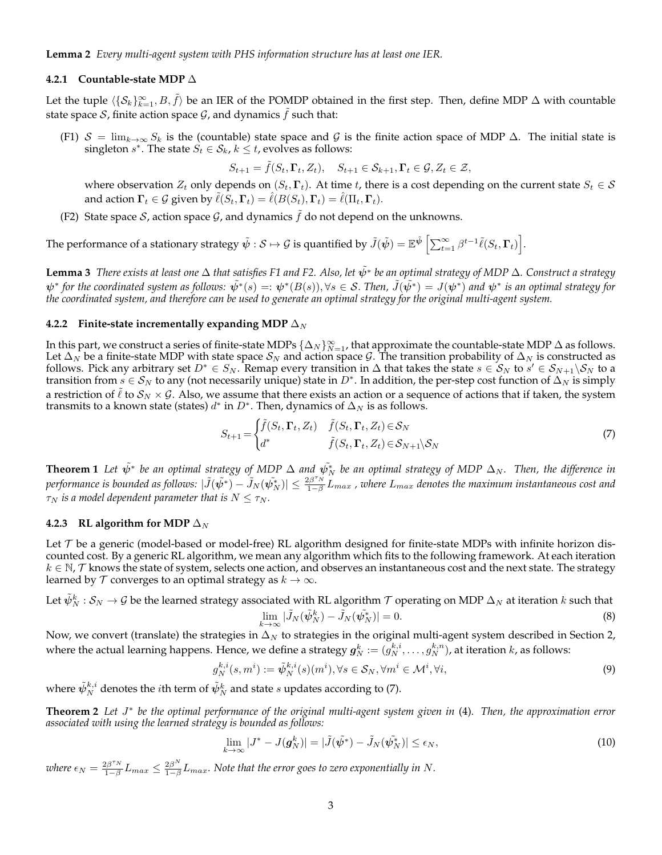#### **4.2.1 Countable-state MDP** ∆

Let the tuple  $\langle \{S_k\}_{k=1}^\infty, B, \tilde{f} \rangle$  be an IER of the POMDP obtained in the first step. Then, define MDP  $\Delta$  with countable state space S, finite action space  $\mathcal{G}$ , and dynamics  $\tilde{f}$  such that:

(F1)  $S = \lim_{k \to \infty} S_k$  is the (countable) state space and G is the finite action space of MDP  $\Delta$ . The initial state is singleton  $s^*$ . The state  $S_t \in \mathcal{S}_k$ ,  $k \leq t$ , evolves as follows:

$$
S_{t+1} = \tilde{f}(S_t, \Gamma_t, Z_t), \quad S_{t+1} \in \mathcal{S}_{k+1}, \Gamma_t \in \mathcal{G}, Z_t \in \mathcal{Z},
$$

where observation  $Z_t$  only depends on  $(S_t, \Gamma_t)$ . At time t, there is a cost depending on the current state  $S_t \in \mathcal{S}$ and action  $\Gamma_t \in \mathcal{G}$  given by  $\ell(S_t, \Gamma_t) = \ell(B(S_t), \Gamma_t) = \ell(\Pi_t, \Gamma_t)$ .

(F2) State space S, action space  $G$ , and dynamics  $\hat{f}$  do not depend on the unknowns.

The performance of a stationary strategy  $\tilde{\psi}:\mathcal{S}\mapsto\mathcal{G}$  is quantified by  $\tilde{J}(\tilde{\psi})=\mathbb{E}^{\tilde{\psi}}\left[\sum_{t=1}^{\infty}\beta^{t-1}\tilde{\ell}(S_t,\boldsymbol{\Gamma}_t)\right]$ .

**Lemma 3** *There exists at least one* Δ *that satisfies F1 and F2. Also, let*  $\tilde{\psi}^*$  *be an optimal strategy of MDP* Δ. Construct a strategy  $\psi^*$  for the coordinated system as follows:  $\tilde{\psi^*}(s)=:\psi^*(B(s)), \forall s\in\mathcal{S}.$  Then,  $\tilde{J}(\tilde{\psi^*})=J(\psi^*)$  and  $\psi^*$  is an optimal strategy for *the coordinated system, and therefore can be used to generate an optimal strategy for the original multi-agent system.*

#### **4.2.2 Finite-state incrementally expanding MDP**  $\Delta_N$

In this part, we construct a series of finite-state MDPs  $\{\Delta_N\}_{N=1}^\infty$ , that approximate the countable-state MDP  $\Delta$  as follows. Let  $\Delta_N$  be a finite-state MDP with state space  $S_N$  and action space  $G$ . The transition probability of  $\Delta_N$  is constructed as follows. Pick any arbitrary set  $D^* \in S_N$ . Remap every transition in  $\Delta$  that takes the state  $s \in S_N$  to  $s' \in S_{N+1} \backslash S_N$  to a transition from  $s \in S_N$  to any (not necessarily unique) state in  $D^*$ . In addition, the per-step cost function of  $\Delta_N$  is simply a restriction of  $\ell$  to  $S_N \times G$ . Also, we assume that there exists an action or a sequence of actions that if taken, the system transmits to a known state (states)  $d^*$  in  $D^*$ . Then, dynamics of  $\Delta_N$  is as follows.

$$
S_{t+1} = \begin{cases} \tilde{f}(S_t, \Gamma_t, Z_t) & \tilde{f}(S_t, \Gamma_t, Z_t) \in \mathcal{S}_N \\ d^* & \tilde{f}(S_t, \Gamma_t, Z_t) \in \mathcal{S}_{N+1} \backslash \mathcal{S}_N \end{cases}
$$
(7)

**Theorem 1** Let  $\tilde{\psi}^*$  be an optimal strategy of MDP  $\Delta$  and  $\tilde{\psi}_N^*$  be an optimal strategy of MDP  $\Delta_N$ . Then, the difference in performance is bounded as follows:  $|\tilde{J}(\tilde{\psi^*}) - \tilde{j}_N(\tilde{\psi^*_N})| \leq \frac{2\beta^{\tau_N}}{1-\beta}$  $\frac{2B+N}{1-\beta}L_{max}$  , where  $L_{max}$  denotes the maximum instantaneous cost and  $\tau_N$  is a model dependent parameter that is  $N \leq \tau_N$ .

#### **4.2.3** RL algorithm for MDP  $\Delta_N$

Let  $\tau$  be a generic (model-based or model-free) RL algorithm designed for finite-state MDPs with infinite horizon discounted cost. By a generic RL algorithm, we mean any algorithm which fits to the following framework. At each iteration  $k\in\mathbb{N}$ ,  ${\cal T}$  knows the state of system, selects one action, and observes an instantaneous cost and the next state. The strategy learned by  $\mathcal T$  converges to an optimal strategy as  $k \to \infty$ .

Let  $\tilde{\psi}_N^k:\mathcal{S}_N\to\mathcal{G}$  be the learned strategy associated with RL algorithm  $\mathcal T$  operating on MDP  $\Delta_N$  at iteration  $k$  such that  $\lim_{k \to \infty} |\tilde{J}_N(\tilde{\psi}_N^*) - \tilde{J}_N(\tilde{\psi}_N^*)| = 0.$  (8)

Now, we convert (translate) the strategies in  $\Delta_N$  to strategies in the original multi-agent system described in Section 2, where the actual learning happens. Hence, we define a strategy  $\bm{g}_N^k:=(g_N^{k,i},\ldots,g_N^{k,n})$ , at iteration  $k$ , as follows:

$$
g_N^{k,i}(s,m^i) := \tilde{\psi}_N^{k,i}(s)(m^i), \forall s \in \mathcal{S}_N, \forall m^i \in \mathcal{M}^i, \forall i,
$$
\n
$$
(9)
$$

where  $\tilde{\psi}_{N}^{k,i}$  denotes the  $i$ th term of  $\tilde{\psi}_{N}^{k}$  and state  $s$  updates according to (7).

**Theorem 2** Let J<sup>\*</sup> be the optimal performance of the original multi-agent system given in (4). Then, the approximation error *associated with using the learned strategy is bounded as follows:*

$$
\lim_{k \to \infty} |J^* - J(\mathbf{g}_N^k)| = |\tilde{J}(\tilde{\psi^*}) - \tilde{J}_N(\tilde{\psi_N^*})| \le \epsilon_N,
$$
\n(10)

*where*  $\epsilon_N = \frac{2\beta^{\tau_N}}{1-\beta}$  $\frac{2\beta^{\tau_N}}{1-\beta}L_{max} \leq \frac{2\beta^N}{1-\beta}$  $\frac{2\beta^{11}}{1-\beta}L_{max}$ . Note that the error goes to zero exponentially in N.